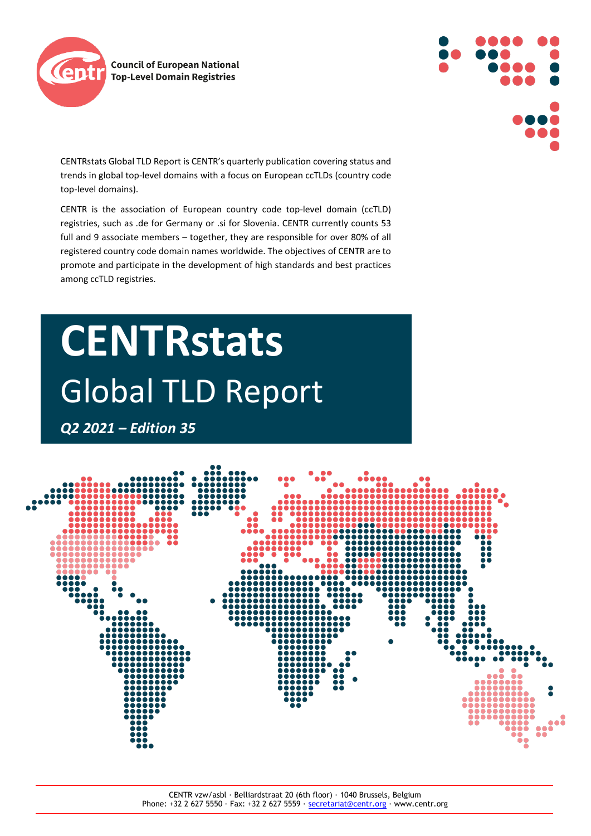



CENTRstats Global TLD Report is CENTR's quarterly publication covering status and trends in global top-level domains with a focus on European ccTLDs (country code top-level domains).

CENTR is the association of European country code top-level domain (ccTLD) registries, such as .de for Germany or .si for Slovenia. CENTR currently counts 53 full and 9 associate members – together, they are responsible for over 80% of all registered country code domain names worldwide. The objectives of CENTR are to promote and participate in the development of high standards and best practices among ccTLD registries.

# **CENTRstats** Global TLD Report

*Q2 2021 – Edition 35*

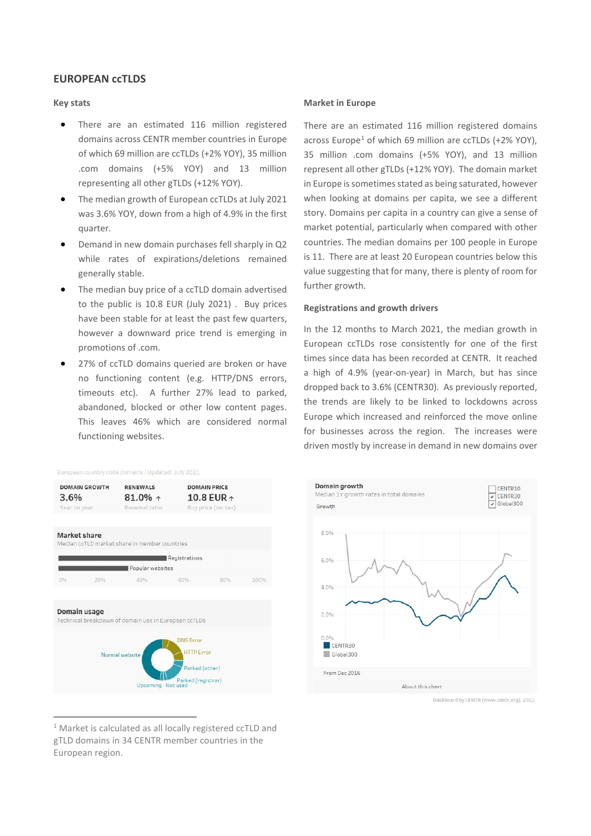# **EUROPEAN ccTLDS**

# **Key stats**

- There are an estimated 116 million registered domains across CENTR member countries in Europe of which 69 million are ccTLDs (+2% YOY), 35 million .com domains (+5% YOY) and 13 million representing all other gTLDs (+12% YOY).
- The median growth of European ccTLDs at July 2021 was 3.6% YOY, down from a high of 4.9% in the first quarter.
- Demand in new domain purchases fell sharply in Q2 while rates of expirations/deletions remained generally stable.
- The median buy price of a ccTLD domain advertised to the public is 10.8 EUR (July 2021) . Buy prices have been stable for at least the past few quarters, however a downward price trend is emerging in promotions of .com.
- 27% of ccTLD domains queried are broken or have no functioning content (e.g. HTTP/DNS errors, timeouts etc). A further 27% lead to parked, abandoned, blocked or other low content pages. This leaves 46% which are considered normal functioning websites.

## **Market in Europe**

There are an estimated 116 million registered domains across Europe<sup>[1](#page-1-0)</sup> of which 69 million are ccTLDs  $(+2\%$  YOY), 35 million .com domains (+5% YOY), and 13 million represent all other gTLDs (+12% YOY). The domain market in Europe is sometimes stated as being saturated, however when looking at domains per capita, we see a different story. Domains per capita in a country can give a sense of market potential, particularly when compared with other countries. The median domains per 100 people in Europe is 11. There are at least 20 European countries below this value suggesting that for many, there is plenty of room for further growth.

#### **Registrations and growth drivers**

In the 12 months to March 2021, the median growth in European ccTLDs rose consistently for one of the first times since data has been recorded at CENTR. It reached a high of 4.9% (year-on-year) in March, but has since dropped back to 3.6% (CENTR30). As previously reported, the trends are likely to be linked to lockdowns across Europe which increased and reinforced the move online for businesses across the region. The increases were driven mostly by increase in demand in new domains over

| <b>DOMAIN GROWTH</b><br>3.6%<br>Year on year |     | <b>RENEWALS</b><br>81.0% $\uparrow$<br>Renewal ratio |                                                         | <b>DOMAIN PRICE</b><br>10.8 EUR $\uparrow$<br>Buy price (inc tax) |      |
|----------------------------------------------|-----|------------------------------------------------------|---------------------------------------------------------|-------------------------------------------------------------------|------|
| Market share                                 |     | Median ccTLD market share in member countries        |                                                         |                                                                   |      |
|                                              |     | Popular websites                                     | Registrations                                           |                                                                   |      |
| 0%                                           | 20% | 40%                                                  | 60%                                                     | 80%                                                               | 100% |
| Domain usage                                 |     | Technical breakdown of domain use in European ccTLDs |                                                         |                                                                   |      |
|                                              |     | Normal website                                       | <b>DNS Error</b><br><b>HTTP</b> Error<br>Parked (other) |                                                                   |      |
|                                              |     | Upcoming Not used                                    | Parked (registrar)                                      |                                                                   |      |

European country code domains | Updated: July 2021



Dashboard by CENTR (www.centr.org), 2021

<span id="page-1-0"></span><sup>&</sup>lt;sup>1</sup> Market is calculated as all locally registered ccTLD and gTLD domains in 34 CENTR member countries in the European region.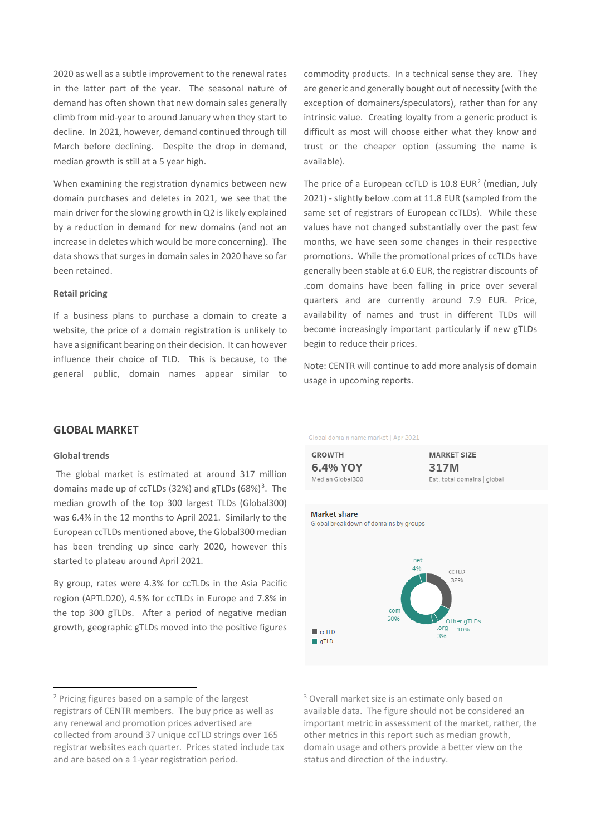2020 as well as a subtle improvement to the renewal rates in the latter part of the year. The seasonal nature of demand has often shown that new domain sales generally climb from mid-year to around January when they start to decline. In 2021, however, demand continued through till March before declining. Despite the drop in demand, median growth is still at a 5 year high.

When examining the registration dynamics between new domain purchases and deletes in 2021, we see that the main driver for the slowing growth in Q2 is likely explained by a reduction in demand for new domains (and not an increase in deletes which would be more concerning). The data shows that surges in domain sales in 2020 have so far been retained.

#### **Retail pricing**

If a business plans to purchase a domain to create a website, the price of a domain registration is unlikely to have a significant bearing on their decision. It can however influence their choice of TLD. This is because, to the general public, domain names appear similar to commodity products. In a technical sense they are. They are generic and generally bought out of necessity (with the exception of domainers/speculators), rather than for any intrinsic value. Creating loyalty from a generic product is difficult as most will choose either what they know and trust or the cheaper option (assuming the name is available).

The price of a European ccTLD is  $10.8$  EUR<sup>[2](#page-2-0)</sup> (median, July 2021) - slightly below .com at 11.8 EUR (sampled from the same set of registrars of European ccTLDs). While these values have not changed substantially over the past few months, we have seen some changes in their respective promotions. While the promotional prices of ccTLDs have generally been stable at 6.0 EUR, the registrar discounts of .com domains have been falling in price over several quarters and are currently around 7.9 EUR. Price, availability of names and trust in different TLDs will become increasingly important particularly if new gTLDs begin to reduce their prices.

Note: CENTR will continue to add more analysis of domain usage in upcoming reports.

# **GLOBAL MARKET**

## **Global trends**

The global market is estimated at around 317 million domains made up of ccTLDs ([3](#page-2-0)2%) and gTLDs (68%)<sup>3</sup>. The median growth of the top 300 largest TLDs (Global300) was 6.4% in the 12 months to April 2021. Similarly to the European ccTLDs mentioned above, the Global300 median has been trending up since early 2020, however this started to plateau around April 2021.

By group, rates were 4.3% for ccTLDs in the Asia Pacific region (APTLD20), 4.5% for ccTLDs in Europe and 7.8% in the top 300 gTLDs. After a period of negative median growth, geographic gTLDs moved into the positive figures Global domain name market | Apr 2021

**GROWTH** 6.4% YOY Median Global300 **MARKET SIZE** 317M Est. total domains | global



<sup>3</sup> Overall market size is an estimate only based on available data. The figure should not be considered an important metric in assessment of the market, rather, the other metrics in this report such as median growth, domain usage and others provide a better view on the status and direction of the industry.

<span id="page-2-0"></span><sup>2</sup> Pricing figures based on a sample of the largest registrars of CENTR members. The buy price as well as any renewal and promotion prices advertised are collected from around 37 unique ccTLD strings over 165 registrar websites each quarter. Prices stated include tax and are based on a 1-year registration period.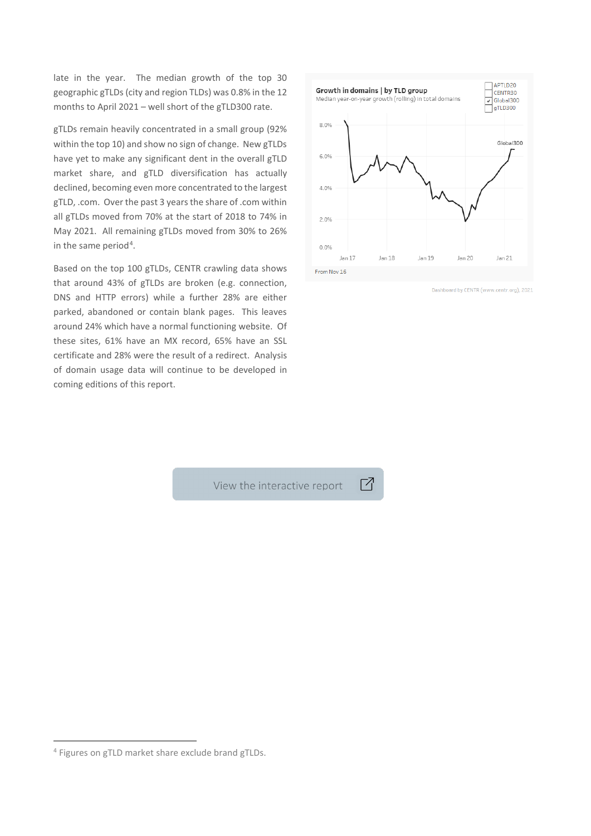late in the year. The median growth of the top 30 geographic gTLDs (city and region TLDs) was 0.8% in the 12 months to April 2021 – well short of the gTLD300 rate.

gTLDs remain heavily concentrated in a small group (92% within the top 10) and show no sign of change. New gTLDs have yet to make any significant dent in the overall gTLD market share, and gTLD diversification has actually declined, becoming even more concentrated to the largest gTLD, .com. Over the past 3 years the share of .com within all gTLDs moved from 70% at the start of 2018 to 74% in May 2021. All remaining gTLDs moved from 30% to 26% in the same period<sup>[4](#page-3-0)</sup>.

Based on the top 100 gTLDs, CENTR crawling data shows that around 43% of gTLDs are broken (e.g. connection, DNS and HTTP errors) while a further 28% are either parked, abandoned or contain blank pages. This leaves around 24% which have a normal functioning website. Of these sites, 61% have an MX record, 65% have an SSL certificate and 28% were the result of a redirect. Analysis of domain usage data will continue to be developed in coming editions of this report.



Dashboard by CENTR (www.centr.org), 2021

View the interactive report

Г7

<span id="page-3-0"></span><sup>4</sup> Figures on gTLD market share exclude brand gTLDs.